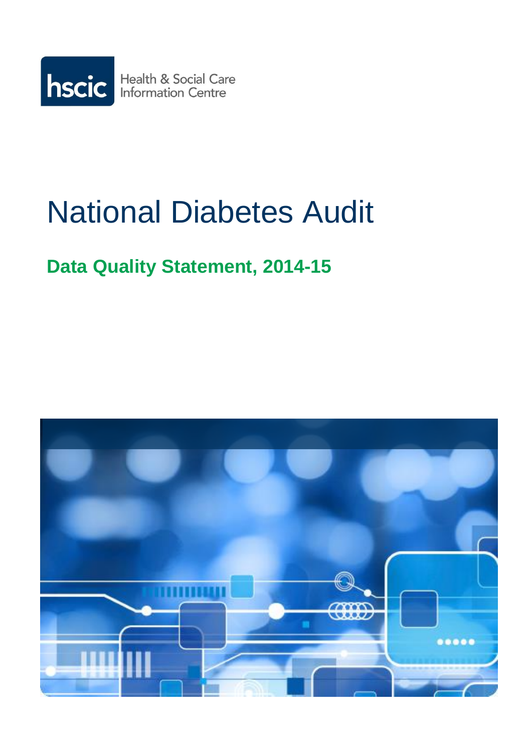

# National Diabetes Audit

# **Data Quality Statement, 2014-15**

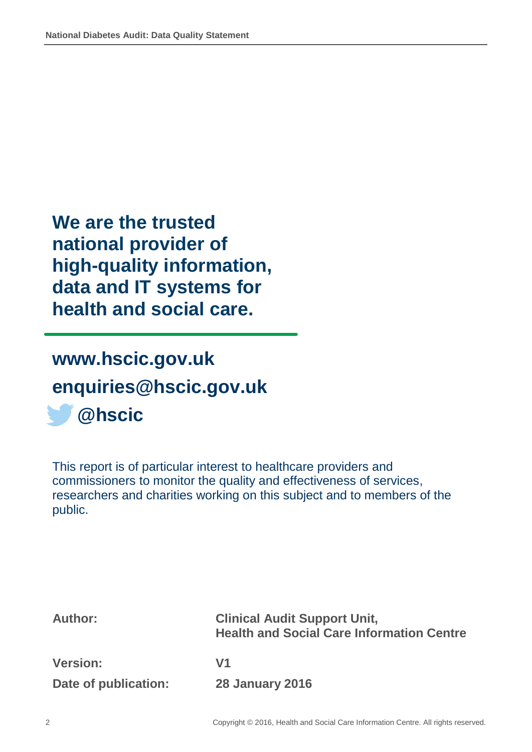**We are the trusted national provider of high-quality information, data and IT systems for health and social care.**

**[www.hscic.gov.uk](http://www.hscic.gov.uk/) [enquiries@hscic.gov.uk](mailto:enquiries@hscic.gov.uk) @hscic**

This report is of particular interest to healthcare providers and commissioners to monitor the quality and effectiveness of services, researchers and charities working on this subject and to members of the public.

| <b>Author:</b>       | <b>Clinical Audit Support Unit,</b><br><b>Health and Social Care Information Centre</b> |
|----------------------|-----------------------------------------------------------------------------------------|
| <b>Version:</b>      | V1                                                                                      |
| Date of publication: | <b>28 January 2016</b>                                                                  |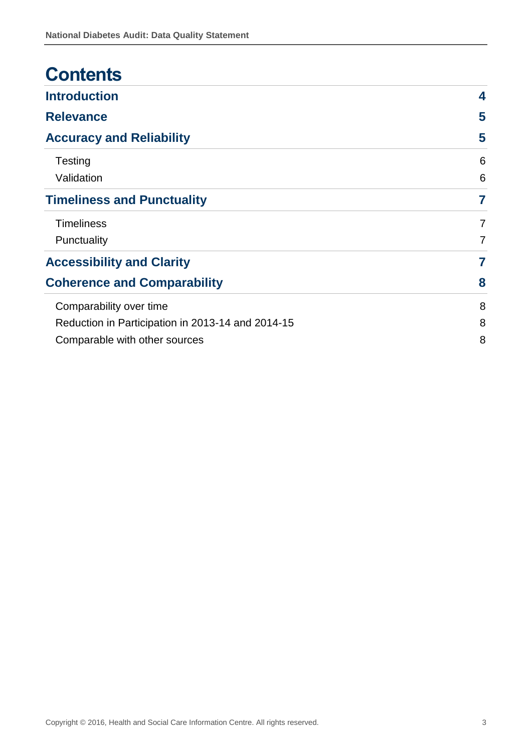| <b>Contents</b>                                   |                |  |  |  |  |
|---------------------------------------------------|----------------|--|--|--|--|
| <b>Introduction</b>                               | 4              |  |  |  |  |
| <b>Relevance</b>                                  | 5              |  |  |  |  |
| <b>Accuracy and Reliability</b>                   | 5              |  |  |  |  |
| Testing                                           | 6              |  |  |  |  |
| Validation                                        | 6              |  |  |  |  |
| <b>Timeliness and Punctuality</b>                 | 7              |  |  |  |  |
| <b>Timeliness</b>                                 | $\overline{7}$ |  |  |  |  |
| Punctuality                                       | $\overline{7}$ |  |  |  |  |
| <b>Accessibility and Clarity</b>                  | 7              |  |  |  |  |
| <b>Coherence and Comparability</b>                | 8              |  |  |  |  |
| Comparability over time                           | 8              |  |  |  |  |
| Reduction in Participation in 2013-14 and 2014-15 |                |  |  |  |  |
| Comparable with other sources                     | 8              |  |  |  |  |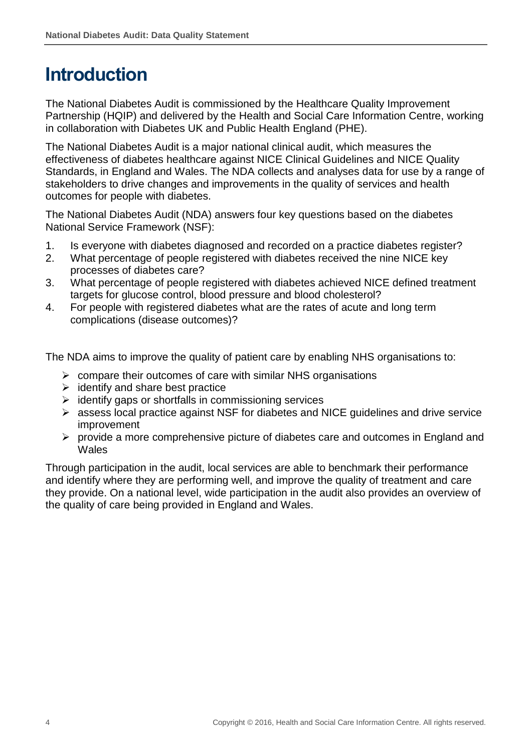## <span id="page-3-0"></span>**Introduction**

The National Diabetes Audit is commissioned by the Healthcare Quality Improvement Partnership (HQIP) and delivered by the Health and Social Care Information Centre, working in collaboration with Diabetes UK and Public Health England (PHE).

The National Diabetes Audit is a major national clinical audit, which measures the effectiveness of diabetes healthcare against NICE Clinical Guidelines and NICE Quality Standards, in England and Wales. The NDA collects and analyses data for use by a range of stakeholders to drive changes and improvements in the quality of services and health outcomes for people with diabetes.

The National Diabetes Audit (NDA) answers four key questions based on the diabetes National Service Framework (NSF):

- 1. Is everyone with diabetes diagnosed and recorded on a practice diabetes register?
- 2. What percentage of people registered with diabetes received the nine NICE key processes of diabetes care?
- 3. What percentage of people registered with diabetes achieved NICE defined treatment targets for glucose control, blood pressure and blood cholesterol?
- 4. For people with registered diabetes what are the rates of acute and long term complications (disease outcomes)?

The NDA aims to improve the quality of patient care by enabling NHS organisations to:

- $\triangleright$  compare their outcomes of care with similar NHS organisations
- $\triangleright$  identify and share best practice
- $\triangleright$  identify gaps or shortfalls in commissioning services
- assess local practice against NSF for diabetes and NICE guidelines and drive service improvement
- $\triangleright$  provide a more comprehensive picture of diabetes care and outcomes in England and **Wales**

Through participation in the audit, local services are able to benchmark their performance and identify where they are performing well, and improve the quality of treatment and care they provide. On a national level, wide participation in the audit also provides an overview of the quality of care being provided in England and Wales.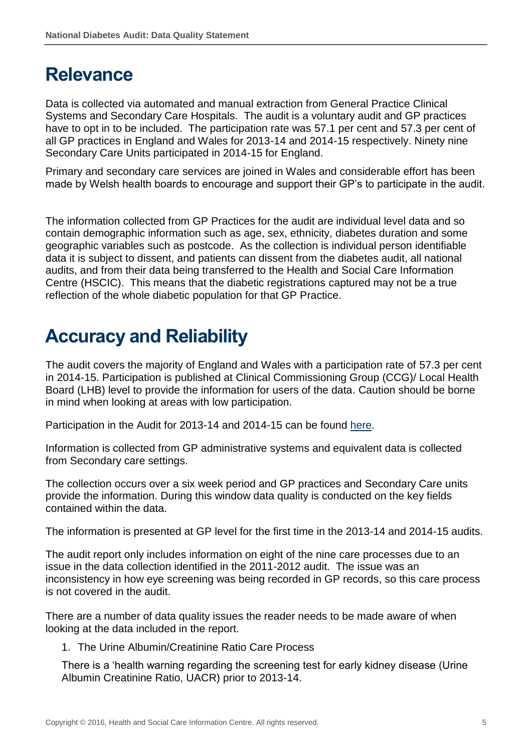## <span id="page-4-0"></span>**Relevance**

Data is collected via automated and manual extraction from General Practice Clinical Systems and Secondary Care Hospitals. The audit is a voluntary audit and GP practices have to opt in to be included. The participation rate was 57.1 per cent and 57.3 per cent of all GP practices in England and Wales for 2013-14 and 2014-15 respectively. Ninety nine Secondary Care Units participated in 2014-15 for England.

Primary and secondary care services are joined in Wales and considerable effort has been made by Welsh health boards to encourage and support their GP's to participate in the audit.

The information collected from GP Practices for the audit are individual level data and so contain demographic information such as age, sex, ethnicity, diabetes duration and some geographic variables such as postcode. As the collection is individual person identifiable data it is subject to dissent, and patients can dissent from the diabetes audit, all national audits, and from their data being transferred to the Health and Social Care Information Centre (HSCIC). This means that the diabetic registrations captured may not be a true reflection of the whole diabetic population for that GP Practice.

## <span id="page-4-1"></span>**Accuracy and Reliability**

The audit covers the majority of England and Wales with a participation rate of 57.3 per cent in 2014-15. Participation is published at Clinical Commissioning Group (CCG)/ Local Health Board (LHB) level to provide the information for users of the data. Caution should be borne in mind when looking at areas with low participation.

Participation in the Audit for 2013-14 and 2014-15 can be found [here.](http://www.hscic.gov.uk/searchcatalogue?productid=19387&q=%22National+diabetes+audit%22&sort=Relevance&size=10&page=1#top)

Information is collected from GP administrative systems and equivalent data is collected from Secondary care settings.

The collection occurs over a six week period and GP practices and Secondary Care units provide the information. During this window data quality is conducted on the key fields contained within the data.

The information is presented at GP level for the first time in the 2013-14 and 2014-15 audits.

The audit report only includes information on eight of the nine care processes due to an issue in the data collection identified in the 2011-2012 audit. The issue was an inconsistency in how eye screening was being recorded in GP records, so this care process is not covered in the audit.

There are a number of data quality issues the reader needs to be made aware of when looking at the data included in the report.

1. The Urine Albumin/Creatinine Ratio Care Process

There is a 'health warning regarding the screening test for early kidney disease (Urine Albumin Creatinine Ratio, UACR) prior to 2013-14.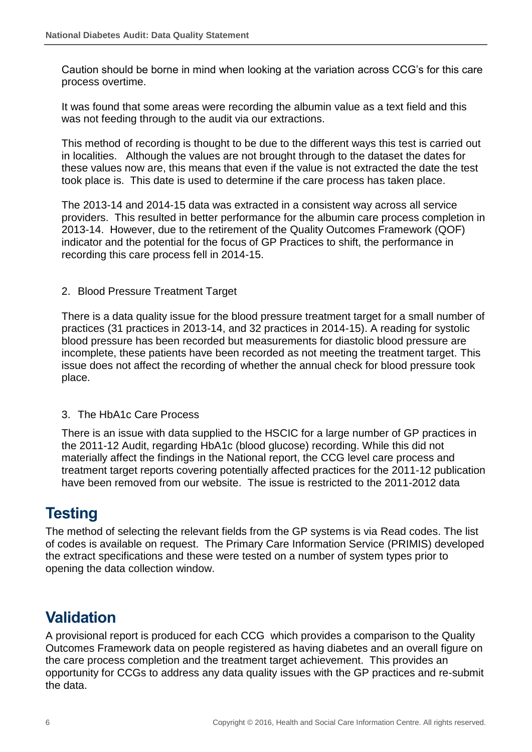Caution should be borne in mind when looking at the variation across CCG's for this care process overtime.

It was found that some areas were recording the albumin value as a text field and this was not feeding through to the audit via our extractions.

This method of recording is thought to be due to the different ways this test is carried out in localities. Although the values are not brought through to the dataset the dates for these values now are, this means that even if the value is not extracted the date the test took place is. This date is used to determine if the care process has taken place.

The 2013-14 and 2014-15 data was extracted in a consistent way across all service providers. This resulted in better performance for the albumin care process completion in 2013-14. However, due to the retirement of the Quality Outcomes Framework (QOF) indicator and the potential for the focus of GP Practices to shift, the performance in recording this care process fell in 2014-15.

#### 2. Blood Pressure Treatment Target

There is a data quality issue for the blood pressure treatment target for a small number of practices (31 practices in 2013-14, and 32 practices in 2014-15). A reading for systolic blood pressure has been recorded but measurements for diastolic blood pressure are incomplete, these patients have been recorded as not meeting the treatment target. This issue does not affect the recording of whether the annual check for blood pressure took place.

#### 3. The HbA1c Care Process

There is an issue with data supplied to the HSCIC for a large number of GP practices in the 2011-12 Audit, regarding HbA1c (blood glucose) recording. While this did not materially affect the findings in the National report, the CCG level care process and treatment target reports covering potentially affected practices for the 2011-12 publication have been removed from our website. The issue is restricted to the 2011-2012 data

## <span id="page-5-0"></span>**Testing**

The method of selecting the relevant fields from the GP systems is via Read codes. The list of codes is available on request. The Primary Care Information Service (PRIMIS) developed the extract specifications and these were tested on a number of system types prior to opening the data collection window.

## <span id="page-5-1"></span>**Validation**

A provisional report is produced for each CCG which provides a comparison to the Quality Outcomes Framework data on people registered as having diabetes and an overall figure on the care process completion and the treatment target achievement. This provides an opportunity for CCGs to address any data quality issues with the GP practices and re-submit the data.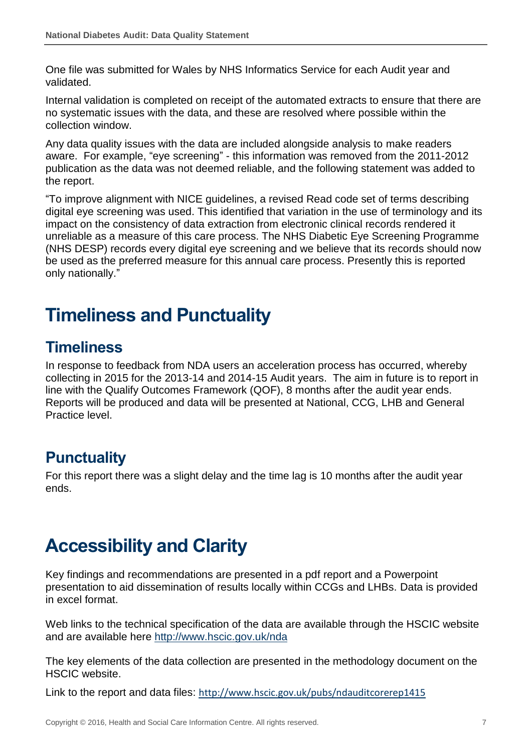One file was submitted for Wales by NHS Informatics Service for each Audit year and validated.

Internal validation is completed on receipt of the automated extracts to ensure that there are no systematic issues with the data, and these are resolved where possible within the collection window.

Any data quality issues with the data are included alongside analysis to make readers aware. For example, "eye screening" - this information was removed from the 2011-2012 publication as the data was not deemed reliable, and the following statement was added to the report.

"To improve alignment with NICE guidelines, a revised Read code set of terms describing digital eye screening was used. This identified that variation in the use of terminology and its impact on the consistency of data extraction from electronic clinical records rendered it unreliable as a measure of this care process. The NHS Diabetic Eye Screening Programme (NHS DESP) records every digital eye screening and we believe that its records should now be used as the preferred measure for this annual care process. Presently this is reported only nationally."

## <span id="page-6-0"></span>**Timeliness and Punctuality**

## <span id="page-6-1"></span>**Timeliness**

In response to feedback from NDA users an acceleration process has occurred, whereby collecting in 2015 for the 2013-14 and 2014-15 Audit years. The aim in future is to report in line with the Qualify Outcomes Framework (QOF), 8 months after the audit year ends. Reports will be produced and data will be presented at National, CCG, LHB and General Practice level.

## <span id="page-6-2"></span>**Punctuality**

For this report there was a slight delay and the time lag is 10 months after the audit year ends.

## <span id="page-6-3"></span>**Accessibility and Clarity**

Key findings and recommendations are presented in a pdf report and a Powerpoint presentation to aid dissemination of results locally within CCGs and LHBs. Data is provided in excel format.

Web links to the technical specification of the data are available through the HSCIC website and are available here <http://www.hscic.gov.uk/nda>

The key elements of the data collection are presented in the methodology document on the HSCIC website.

Link to the report and data files: <http://www.hscic.gov.uk/pubs/ndauditcorerep1415>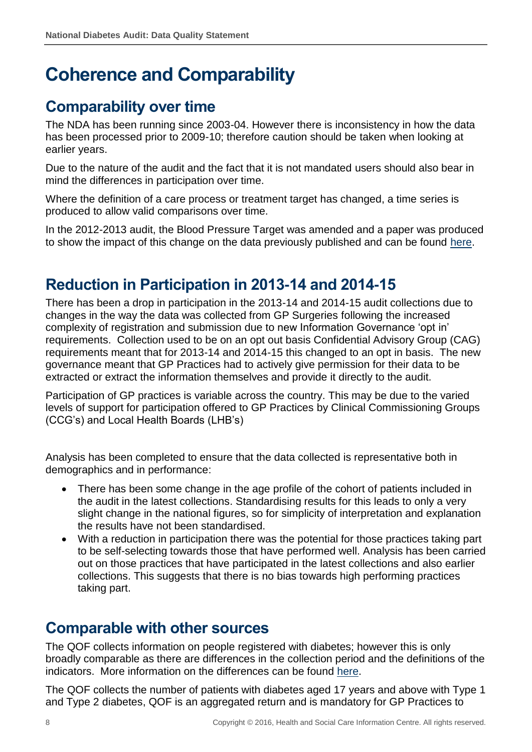# <span id="page-7-0"></span>**Coherence and Comparability**

## <span id="page-7-1"></span>**Comparability over time**

The NDA has been running since 2003-04. However there is inconsistency in how the data has been processed prior to 2009-10; therefore caution should be taken when looking at earlier years.

Due to the nature of the audit and the fact that it is not mandated users should also bear in mind the differences in participation over time.

Where the definition of a care process or treatment target has changed, a time series is produced to allow valid comparisons over time.

In the 2012-2013 audit, the Blood Pressure Target was amended and a paper was produced to show the impact of this change on the data previously published and can be found [here.](http://www.hscic.gov.uk/media/14985/Methodological-change-2014-NDA-Report-Care-Processes-and-Treatment-TargetsMethodology-Paper1-0/pdf/Methodological_change_-_NDA_Report_Care_Processes_and_Treatment_Targets_Methodology_Paper1_0_2014.pdf)

## <span id="page-7-2"></span>**Reduction in Participation in 2013-14 and 2014-15**

There has been a drop in participation in the 2013-14 and 2014-15 audit collections due to changes in the way the data was collected from GP Surgeries following the increased complexity of registration and submission due to new Information Governance 'opt in' requirements. Collection used to be on an opt out basis Confidential Advisory Group (CAG) requirements meant that for 2013-14 and 2014-15 this changed to an opt in basis. The new governance meant that GP Practices had to actively give permission for their data to be extracted or extract the information themselves and provide it directly to the audit.

Participation of GP practices is variable across the country. This may be due to the varied levels of support for participation offered to GP Practices by Clinical Commissioning Groups (CCG's) and Local Health Boards (LHB's)

Analysis has been completed to ensure that the data collected is representative both in demographics and in performance:

- There has been some change in the age profile of the cohort of patients included in the audit in the latest collections. Standardising results for this leads to only a very slight change in the national figures, so for simplicity of interpretation and explanation the results have not been standardised.
- With a reduction in participation there was the potential for those practices taking part to be self-selecting towards those that have performed well. Analysis has been carried out on those practices that have participated in the latest collections and also earlier collections. This suggests that there is no bias towards high performing practices taking part.

#### <span id="page-7-3"></span>**Comparable with other sources**

The QOF collects information on people registered with diabetes; however this is only broadly comparable as there are differences in the collection period and the definitions of the indicators. More information on the differences can be found [here.](http://www.hscic.gov.uk/media/10992/Reporting-On-Annual-Healthcare-Checks-For-People-With-Diabetes/pdf/Differences_between_NDA_and_QOF_report_Jan_2013.pdf)

The QOF collects the number of patients with diabetes aged 17 years and above with Type 1 and Type 2 diabetes, QOF is an aggregated return and is mandatory for GP Practices to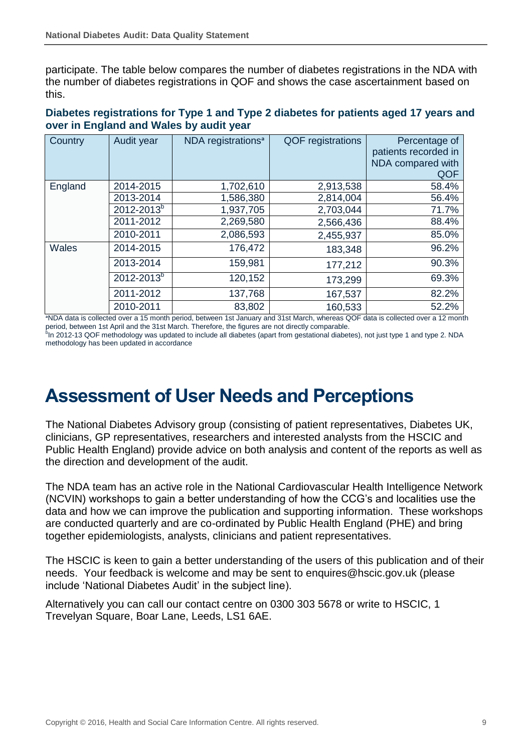participate. The table below compares the number of diabetes registrations in the NDA with the number of diabetes registrations in QOF and shows the case ascertainment based on this.

#### **Diabetes registrations for Type 1 and Type 2 diabetes for patients aged 17 years and over in England and Wales by audit year**

| Country | Audit year             | NDA registrations <sup>a</sup>                                                                                                                                                                                                                | <b>QOF</b> registrations                                                                      | Percentage of                                                                                                                                                              |
|---------|------------------------|-----------------------------------------------------------------------------------------------------------------------------------------------------------------------------------------------------------------------------------------------|-----------------------------------------------------------------------------------------------|----------------------------------------------------------------------------------------------------------------------------------------------------------------------------|
|         |                        |                                                                                                                                                                                                                                               |                                                                                               | patients recorded in                                                                                                                                                       |
|         |                        |                                                                                                                                                                                                                                               |                                                                                               | NDA compared with                                                                                                                                                          |
|         |                        |                                                                                                                                                                                                                                               |                                                                                               | QOF                                                                                                                                                                        |
| England | 2014-2015              | 1,702,610                                                                                                                                                                                                                                     | 2,913,538                                                                                     | 58.4%                                                                                                                                                                      |
|         | 2013-2014              | 1,586,380                                                                                                                                                                                                                                     | 2,814,004                                                                                     | 56.4%                                                                                                                                                                      |
|         | 2012-2013 <sup>b</sup> | 1,937,705                                                                                                                                                                                                                                     | 2,703,044                                                                                     | 71.7%                                                                                                                                                                      |
|         | 2011-2012              | 2,269,580                                                                                                                                                                                                                                     | 2,566,436                                                                                     | 88.4%                                                                                                                                                                      |
|         | 2010-2011              | 2,086,593                                                                                                                                                                                                                                     | 2,455,937                                                                                     | 85.0%                                                                                                                                                                      |
| Wales   | 2014-2015              | 176,472                                                                                                                                                                                                                                       | 183,348                                                                                       | 96.2%                                                                                                                                                                      |
|         | 2013-2014              | 159,981                                                                                                                                                                                                                                       | 177,212                                                                                       | 90.3%                                                                                                                                                                      |
|         | $2012 - 2013^{b}$      | 120,152                                                                                                                                                                                                                                       | 173,299                                                                                       | 69.3%                                                                                                                                                                      |
|         | 2011-2012              | 137,768                                                                                                                                                                                                                                       | 167,537                                                                                       | 82.2%                                                                                                                                                                      |
|         | 2010-2011              | 83,802<br>$\bullet$ MITVA indicates to a contract of the company of the constraint of the company of the company of the company of the company of the company of the company of the company of the company of the company of the company of t | 160,533<br>$\sim$ 1.04 $\sim$ 1.54 $\sim$ $\sim$ 1.04 $\sim$ 1.04 $\sim$ $\sim$ $\sim$ $\sim$ | 52.2%<br>$\bigcap_{i=1}^n$ $\bigcap_{i=1}^n$ $\bigcap_{i=1}^n$ $\bigcap_{i=1}^n$ $\bigcap_{i=1}^n$ $\bigcap_{i=1}^n$ $\bigcap_{i=1}^n$ $\bigcap_{i=1}^n$ $\bigcap_{i=1}^n$ |

ᵃNDA data is collected over a 15 month period, between 1st January and 31st March, whereas QOF data is collected over a 12 month period, between 1st April and the 31st March. Therefore, the figures are not directly comparable.<br><sup>5</sup>In 2012-13 QOF methodology was updated to include all diabetes (apart from gestational diabetes), not just type 1 and typ

methodology has been updated in accordance

## **Assessment of User Needs and Perceptions**

The National Diabetes Advisory group (consisting of patient representatives, Diabetes UK, clinicians, GP representatives, researchers and interested analysts from the HSCIC and Public Health England) provide advice on both analysis and content of the reports as well as the direction and development of the audit.

The NDA team has an active role in the National Cardiovascular Health Intelligence Network (NCVIN) workshops to gain a better understanding of how the CCG's and localities use the data and how we can improve the publication and supporting information. These workshops are conducted quarterly and are co-ordinated by Public Health England (PHE) and bring together epidemiologists, analysts, clinicians and patient representatives.

The HSCIC is keen to gain a better understanding of the users of this publication and of their needs. Your feedback is welcome and may be sent to enquires@hscic.gov.uk (please include 'National Diabetes Audit' in the subject line).

Alternatively you can call our contact centre on 0300 303 5678 or write to HSCIC, 1 Trevelyan Square, Boar Lane, Leeds, LS1 6AE.